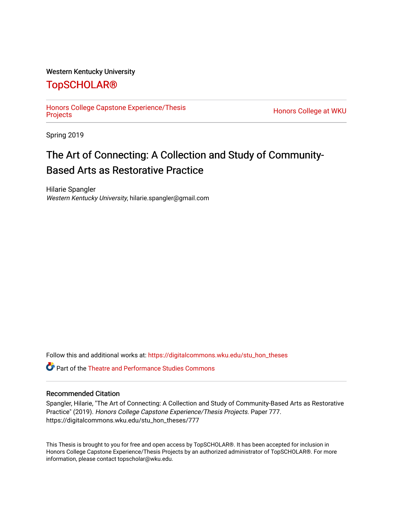# Western Kentucky University

# [TopSCHOLAR®](https://digitalcommons.wku.edu/)

[Honors College Capstone Experience/Thesis](https://digitalcommons.wku.edu/stu_hon_theses) 

Honors College at WKU

Spring 2019

# The Art of Connecting: A Collection and Study of Community-Based Arts as Restorative Practice

Hilarie Spangler Western Kentucky University, hilarie.spangler@gmail.com

Follow this and additional works at: [https://digitalcommons.wku.edu/stu\\_hon\\_theses](https://digitalcommons.wku.edu/stu_hon_theses?utm_source=digitalcommons.wku.edu%2Fstu_hon_theses%2F777&utm_medium=PDF&utm_campaign=PDFCoverPages) 

**P** Part of the Theatre and Performance Studies Commons

### Recommended Citation

Spangler, Hilarie, "The Art of Connecting: A Collection and Study of Community-Based Arts as Restorative Practice" (2019). Honors College Capstone Experience/Thesis Projects. Paper 777. https://digitalcommons.wku.edu/stu\_hon\_theses/777

This Thesis is brought to you for free and open access by TopSCHOLAR®. It has been accepted for inclusion in Honors College Capstone Experience/Thesis Projects by an authorized administrator of TopSCHOLAR®. For more information, please contact topscholar@wku.edu.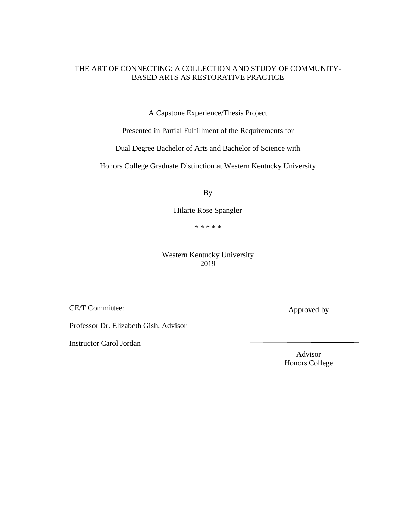# THE ART OF CONNECTING: A COLLECTION AND STUDY OF COMMUNITY-BASED ARTS AS RESTORATIVE PRACTICE

A Capstone Experience/Thesis Project

Presented in Partial Fulfillment of the Requirements for

Dual Degree Bachelor of Arts and Bachelor of Science with

Honors College Graduate Distinction at Western Kentucky University

By

Hilarie Rose Spangler

\* \* \* \* \*

Western Kentucky University 2019

CE/T Committee:

Professor Dr. Elizabeth Gish, Advisor

Instructor Carol Jordan

Advisor Honors College

Approved by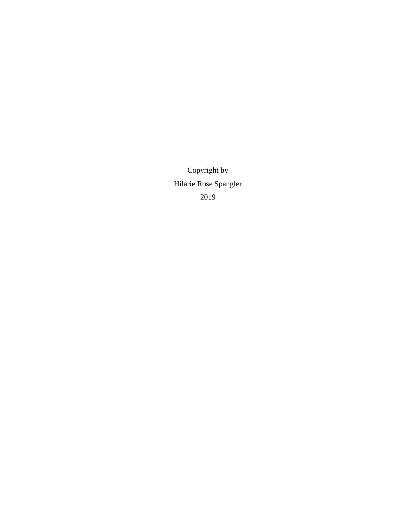Copyright by Hilarie Rose Spangler 2019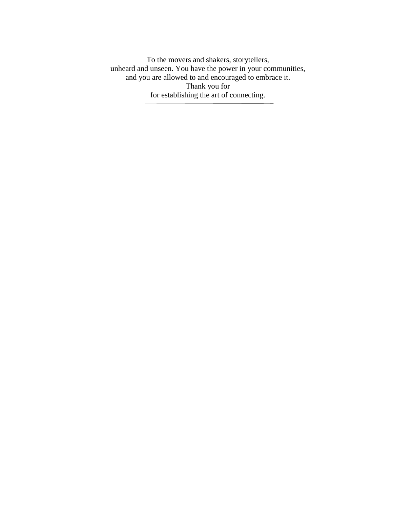To the movers and shakers, storytellers, unheard and unseen. You have the power in your communities, and you are allowed to and encouraged to embrace it. Thank you for for establishing the art of connecting.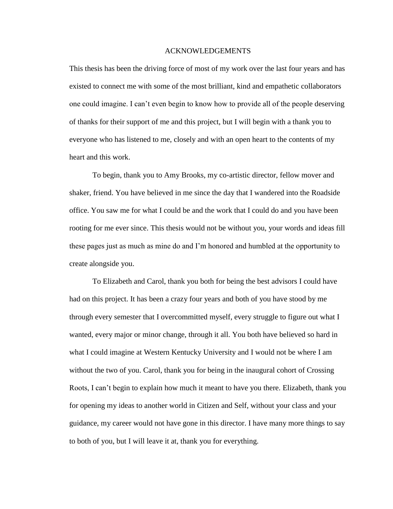### ACKNOWLEDGEMENTS

This thesis has been the driving force of most of my work over the last four years and has existed to connect me with some of the most brilliant, kind and empathetic collaborators one could imagine. I can't even begin to know how to provide all of the people deserving of thanks for their support of me and this project, but I will begin with a thank you to everyone who has listened to me, closely and with an open heart to the contents of my heart and this work.

To begin, thank you to Amy Brooks, my co-artistic director, fellow mover and shaker, friend. You have believed in me since the day that I wandered into the Roadside office. You saw me for what I could be and the work that I could do and you have been rooting for me ever since. This thesis would not be without you, your words and ideas fill these pages just as much as mine do and I'm honored and humbled at the opportunity to create alongside you.

To Elizabeth and Carol, thank you both for being the best advisors I could have had on this project. It has been a crazy four years and both of you have stood by me through every semester that I overcommitted myself, every struggle to figure out what I wanted, every major or minor change, through it all. You both have believed so hard in what I could imagine at Western Kentucky University and I would not be where I am without the two of you. Carol, thank you for being in the inaugural cohort of Crossing Roots, I can't begin to explain how much it meant to have you there. Elizabeth, thank you for opening my ideas to another world in Citizen and Self, without your class and your guidance, my career would not have gone in this director. I have many more things to say to both of you, but I will leave it at, thank you for everything.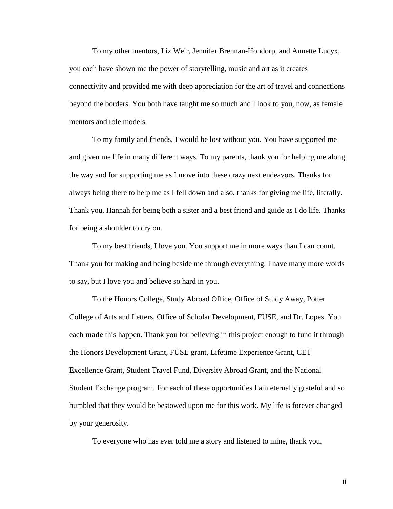To my other mentors, Liz Weir, Jennifer Brennan-Hondorp, and Annette Lucyx, you each have shown me the power of storytelling, music and art as it creates connectivity and provided me with deep appreciation for the art of travel and connections beyond the borders. You both have taught me so much and I look to you, now, as female mentors and role models.

To my family and friends, I would be lost without you. You have supported me and given me life in many different ways. To my parents, thank you for helping me along the way and for supporting me as I move into these crazy next endeavors. Thanks for always being there to help me as I fell down and also, thanks for giving me life, literally. Thank you, Hannah for being both a sister and a best friend and guide as I do life. Thanks for being a shoulder to cry on.

To my best friends, I love you. You support me in more ways than I can count. Thank you for making and being beside me through everything. I have many more words to say, but I love you and believe so hard in you.

To the Honors College, Study Abroad Office, Office of Study Away, Potter College of Arts and Letters, Office of Scholar Development, FUSE, and Dr. Lopes. You each **made** this happen. Thank you for believing in this project enough to fund it through the Honors Development Grant, FUSE grant, Lifetime Experience Grant, CET Excellence Grant, Student Travel Fund, Diversity Abroad Grant, and the National Student Exchange program. For each of these opportunities I am eternally grateful and so humbled that they would be bestowed upon me for this work. My life is forever changed by your generosity.

To everyone who has ever told me a story and listened to mine, thank you.

ii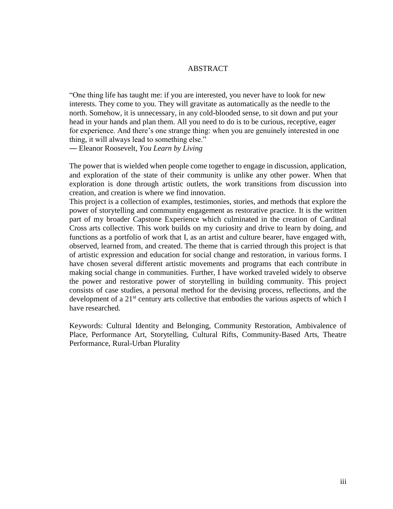### ABSTRACT

"One thing life has taught me: if you are interested, you never have to look for new interests. They come to you. They will gravitate as automatically as the needle to the north. Somehow, it is unnecessary, in any cold-blooded sense, to sit down and put your head in your hands and plan them. All you need to do is to be curious, receptive, eager for experience. And there's one strange thing: when you are genuinely interested in one thing, it will always lead to something else."

― Eleanor Roosevelt, *You Learn by Living*

The power that is wielded when people come together to engage in discussion, application, and exploration of the state of their community is unlike any other power. When that exploration is done through artistic outlets, the work transitions from discussion into creation, and creation is where we find innovation.

This project is a collection of examples, testimonies, stories, and methods that explore the power of storytelling and community engagement as restorative practice. It is the written part of my broader Capstone Experience which culminated in the creation of Cardinal Cross arts collective. This work builds on my curiosity and drive to learn by doing, and functions as a portfolio of work that I, as an artist and culture bearer, have engaged with, observed, learned from, and created. The theme that is carried through this project is that of artistic expression and education for social change and restoration, in various forms. I have chosen several different artistic movements and programs that each contribute in making social change in communities. Further, I have worked traveled widely to observe the power and restorative power of storytelling in building community. This project consists of case studies, a personal method for the devising process, reflections, and the development of a 21<sup>st</sup> century arts collective that embodies the various aspects of which I have researched.

Keywords: Cultural Identity and Belonging, Community Restoration, Ambivalence of Place, Performance Art, Storytelling, Cultural Rifts, Community-Based Arts, Theatre Performance, Rural-Urban Plurality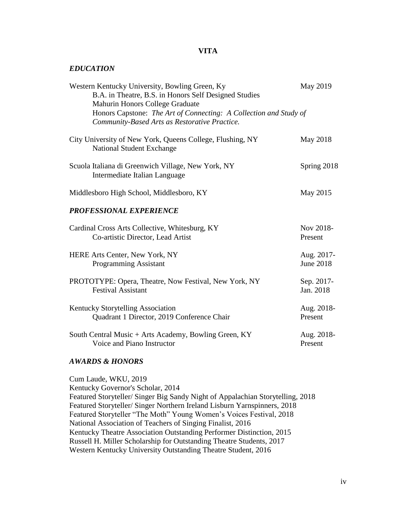# **VITA**

### *EDUCATION*

| Western Kentucky University, Bowling Green, Ky<br>B.A. in Theatre, B.S. in Honors Self Designed Studies<br>Mahurin Honors College Graduate<br>Honors Capstone: The Art of Connecting: A Collection and Study of<br>Community-Based Arts as Restorative Practice. | May 2019         |
|------------------------------------------------------------------------------------------------------------------------------------------------------------------------------------------------------------------------------------------------------------------|------------------|
| City University of New York, Queens College, Flushing, NY<br><b>National Student Exchange</b>                                                                                                                                                                    | May 2018         |
| Scuola Italiana di Greenwich Village, New York, NY<br>Intermediate Italian Language                                                                                                                                                                              | Spring 2018      |
| Middlesboro High School, Middlesboro, KY                                                                                                                                                                                                                         | May 2015         |
| <b>PROFESSIONAL EXPERIENCE</b>                                                                                                                                                                                                                                   |                  |
| Cardinal Cross Arts Collective, Whitesburg, KY                                                                                                                                                                                                                   | Nov 2018-        |
| Co-artistic Director, Lead Artist                                                                                                                                                                                                                                | Present          |
| HERE Arts Center, New York, NY                                                                                                                                                                                                                                   | Aug. 2017-       |
| <b>Programming Assistant</b>                                                                                                                                                                                                                                     | <b>June 2018</b> |
| PROTOTYPE: Opera, Theatre, Now Festival, New York, NY                                                                                                                                                                                                            | Sep. 2017-       |
| <b>Festival Assistant</b>                                                                                                                                                                                                                                        | Jan. 2018        |
| <b>Kentucky Storytelling Association</b>                                                                                                                                                                                                                         | Aug. 2018-       |
| Quadrant 1 Director, 2019 Conference Chair                                                                                                                                                                                                                       | Present          |
| South Central Music + Arts Academy, Bowling Green, KY                                                                                                                                                                                                            | Aug. 2018-       |
| Voice and Piano Instructor                                                                                                                                                                                                                                       | Present          |

# *AWARDS & HONORS*

Cum Laude, WKU, 2019 Kentucky Governor's Scholar, 2014 Featured Storyteller/ Singer Big Sandy Night of Appalachian Storytelling, 2018 Featured Storyteller/ Singer Northern Ireland Lisburn Yarnspinners, 2018 Featured Storyteller "The Moth" Young Women's Voices Festival, 2018 National Association of Teachers of Singing Finalist, 2016 Kentucky Theatre Association Outstanding Performer Distinction, 2015 Russell H. Miller Scholarship for Outstanding Theatre Students, 2017 Western Kentucky University Outstanding Theatre Student, 2016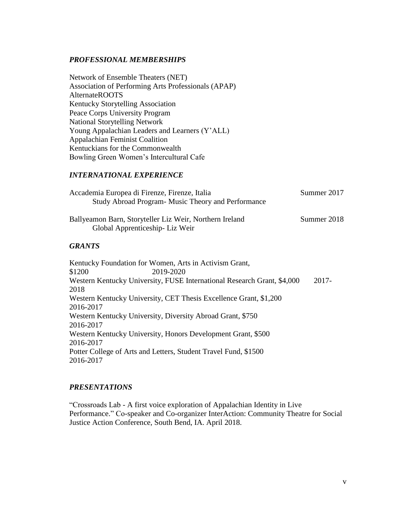# *PROFESSIONAL MEMBERSHIPS*

Network of Ensemble Theaters (NET) Association of Performing Arts Professionals (APAP) AlternateROOTS Kentucky Storytelling Association Peace Corps University Program National Storytelling Network Young Appalachian Leaders and Learners (Y'ALL) Appalachian Feminist Coalition Kentuckians for the Commonwealth Bowling Green Women's Intercultural Cafe

# *INTERNATIONAL EXPERIENCE*

| Accademia Europea di Firenze, Firenze, Italia           | Summer 2017 |
|---------------------------------------------------------|-------------|
| Study Abroad Program - Music Theory and Performance     |             |
| Ballyeamon Barn, Storyteller Liz Weir, Northern Ireland | Summer 2018 |
| Global Apprenticeship-Liz Weir                          |             |

# *GRANTS*

Kentucky Foundation for Women, Arts in Activism Grant, \$1200 2019-2020 Western Kentucky University, FUSE International Research Grant, \$4,000 2017- 2018 Western Kentucky University, CET Thesis Excellence Grant, \$1,200 2016-2017 Western Kentucky University, Diversity Abroad Grant, \$750 2016-2017 Western Kentucky University, Honors Development Grant, \$500 2016-2017 Potter College of Arts and Letters, Student Travel Fund, \$1500 2016-2017

# *PRESENTATIONS*

"Crossroads Lab - A first voice exploration of Appalachian Identity in Live Performance." Co-speaker and Co-organizer InterAction: Community Theatre for Social Justice Action Conference, South Bend, IA. April 2018.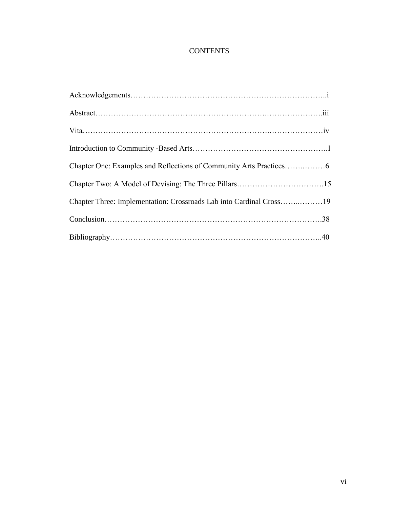# **CONTENTS**

| Chapter Three: Implementation: Crossroads Lab into Cardinal Cross19 |  |
|---------------------------------------------------------------------|--|
|                                                                     |  |
|                                                                     |  |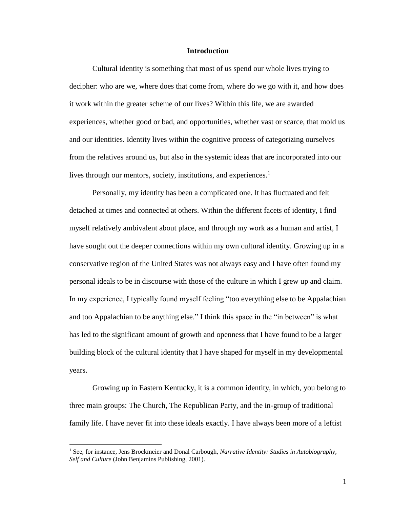### **Introduction**

Cultural identity is something that most of us spend our whole lives trying to decipher: who are we, where does that come from, where do we go with it, and how does it work within the greater scheme of our lives? Within this life, we are awarded experiences, whether good or bad, and opportunities, whether vast or scarce, that mold us and our identities. Identity lives within the cognitive process of categorizing ourselves from the relatives around us, but also in the systemic ideas that are incorporated into our lives through our mentors, society, institutions, and experiences.<sup>1</sup>

Personally, my identity has been a complicated one. It has fluctuated and felt detached at times and connected at others. Within the different facets of identity, I find myself relatively ambivalent about place, and through my work as a human and artist, I have sought out the deeper connections within my own cultural identity. Growing up in a conservative region of the United States was not always easy and I have often found my personal ideals to be in discourse with those of the culture in which I grew up and claim. In my experience, I typically found myself feeling "too everything else to be Appalachian and too Appalachian to be anything else." I think this space in the "in between" is what has led to the significant amount of growth and openness that I have found to be a larger building block of the cultural identity that I have shaped for myself in my developmental years.

Growing up in Eastern Kentucky, it is a common identity, in which, you belong to three main groups: The Church, The Republican Party, and the in-group of traditional family life. I have never fit into these ideals exactly. I have always been more of a leftist

<sup>1</sup> See, for instance, Jens Brockmeier and Donal Carbough, *Narrative Identity: Studies in Autobiography, Self and Culture* (John Benjamins Publishing, 2001).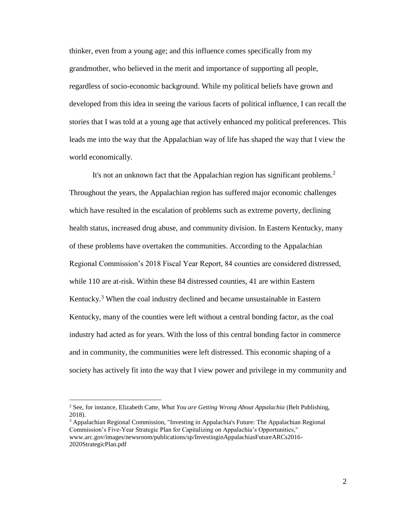thinker, even from a young age; and this influence comes specifically from my grandmother, who believed in the merit and importance of supporting all people, regardless of socio-economic background. While my political beliefs have grown and developed from this idea in seeing the various facets of political influence, I can recall the stories that I was told at a young age that actively enhanced my political preferences. This leads me into the way that the Appalachian way of life has shaped the way that I view the world economically.

It's not an unknown fact that the Appalachian region has significant problems.<sup>2</sup> Throughout the years, the Appalachian region has suffered major economic challenges which have resulted in the escalation of problems such as extreme poverty, declining health status, increased drug abuse, and community division. In Eastern Kentucky, many of these problems have overtaken the communities. According to the Appalachian Regional Commission's 2018 Fiscal Year Report, 84 counties are considered distressed, while 110 are at-risk. Within these 84 distressed counties, 41 are within Eastern Kentucky.<sup>3</sup> When the coal industry declined and became unsustainable in Eastern Kentucky, many of the counties were left without a central bonding factor, as the coal industry had acted as for years. With the loss of this central bonding factor in commerce and in community, the communities were left distressed. This economic shaping of a society has actively fit into the way that I view power and privilege in my community and

<sup>2</sup> See, for instance, Elizabeth Catte, *What You are Getting Wrong About Appalachia* (Belt Publishing, 2018).

 $3$  Appalachian Regional Commission, "Investing in Appalachia's Future: The Appalachian Regional Commission's Five-Year Strategic Plan for Capitalizing on Appalachia's Opportunities," www.arc.gov/images/newsroom/publications/sp/InvestinginAppalachiasFutureARCs2016- 2020StrategicPlan.pdf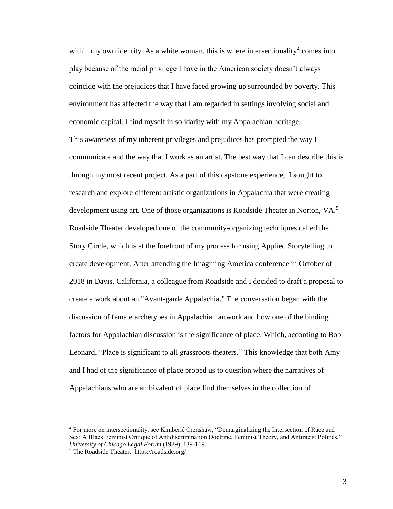within my own identity. As a white woman, this is where intersectionality<sup>4</sup> comes into play because of the racial privilege I have in the American society doesn't always coincide with the prejudices that I have faced growing up surrounded by poverty. This environment has affected the way that I am regarded in settings involving social and economic capital. I find myself in solidarity with my Appalachian heritage. This awareness of my inherent privileges and prejudices has prompted the way I communicate and the way that I work as an artist. The best way that I can describe this is through my most recent project. As a part of this capstone experience, I sought to research and explore different artistic organizations in Appalachia that were creating development using art. One of those organizations is Roadside Theater in Norton, VA.<sup>5</sup> Roadside Theater developed one of the community-organizing techniques called the Story Circle, which is at the forefront of my process for using Applied Storytelling to create development. After attending the Imagining America conference in October of 2018 in Davis, California, a colleague from Roadside and I decided to draft a proposal to create a work about an "Avant-garde Appalachia." The conversation began with the discussion of female archetypes in Appalachian artwork and how one of the binding factors for Appalachian discussion is the significance of place. Which, according to Bob Leonard, "Place is significant to all grassroots theaters." This knowledge that both Amy and I had of the significance of place probed us to question where the narratives of Appalachians who are ambivalent of place find themselves in the collection of

<sup>4</sup> For more on intersectionality, see Kimberlé Crenshaw, "Demarginalizing the Intersection of Race and Sex: A Black Feminist Critique of Antidiscrimination Doctrine, Feminist Theory, and Antiracist Politics," *University of Chicago Legal Forum* (1989), 139-169.

<sup>5</sup> The Roadside Theater, https://roadside.org/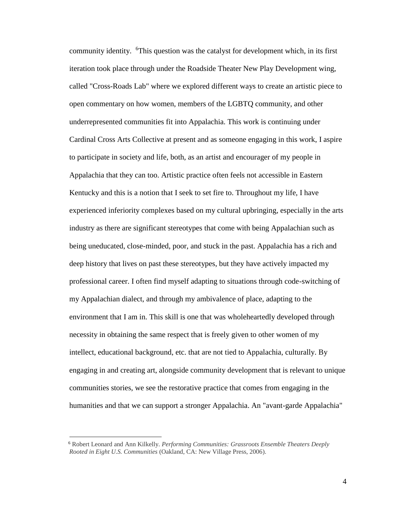community identity. <sup>6</sup>This question was the catalyst for development which, in its first iteration took place through under the Roadside Theater New Play Development wing, called "Cross-Roads Lab" where we explored different ways to create an artistic piece to open commentary on how women, members of the LGBTQ community, and other underrepresented communities fit into Appalachia. This work is continuing under Cardinal Cross Arts Collective at present and as someone engaging in this work, I aspire to participate in society and life, both, as an artist and encourager of my people in Appalachia that they can too. Artistic practice often feels not accessible in Eastern Kentucky and this is a notion that I seek to set fire to. Throughout my life, I have experienced inferiority complexes based on my cultural upbringing, especially in the arts industry as there are significant stereotypes that come with being Appalachian such as being uneducated, close-minded, poor, and stuck in the past. Appalachia has a rich and deep history that lives on past these stereotypes, but they have actively impacted my professional career. I often find myself adapting to situations through code-switching of my Appalachian dialect, and through my ambivalence of place, adapting to the environment that I am in. This skill is one that was wholeheartedly developed through necessity in obtaining the same respect that is freely given to other women of my intellect, educational background, etc. that are not tied to Appalachia, culturally. By engaging in and creating art, alongside community development that is relevant to unique communities stories, we see the restorative practice that comes from engaging in the humanities and that we can support a stronger Appalachia. An "avant-garde Appalachia"

<sup>6</sup> Robert Leonard and Ann Kilkelly. *Performing Communities: Grassroots Ensemble Theaters Deeply Rooted in Eight U.S. Communities* (Oakland, CA: New Village Press, 2006).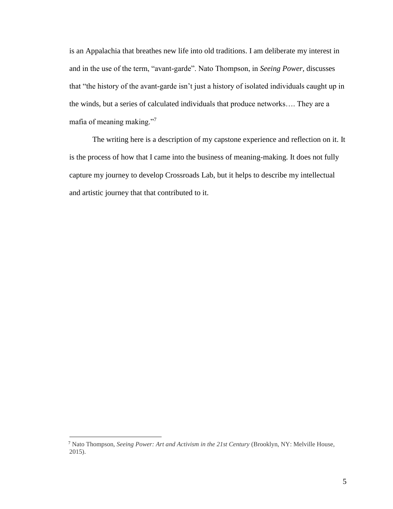is an Appalachia that breathes new life into old traditions. I am deliberate my interest in and in the use of the term, "avant-garde". Nato Thompson, in *Seeing Power,* discusses that "the history of the avant-garde isn't just a history of isolated individuals caught up in the winds, but a series of calculated individuals that produce networks…. They are a mafia of meaning making."<sup>7</sup>

The writing here is a description of my capstone experience and reflection on it. It is the process of how that I came into the business of meaning-making. It does not fully capture my journey to develop Crossroads Lab, but it helps to describe my intellectual and artistic journey that that contributed to it.

<sup>7</sup> Nato Thompson, *Seeing Power: Art and Activism in the 21st Century* (Brooklyn, NY: Melville House, 2015).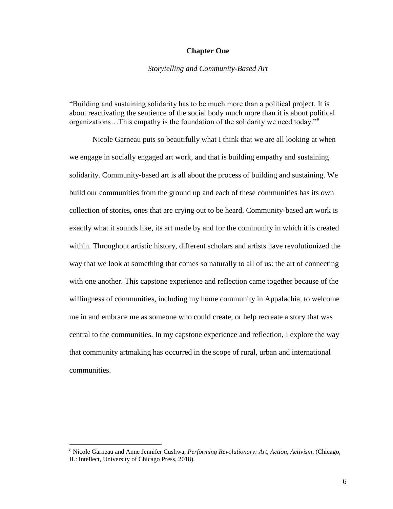### **Chapter One**

### *Storytelling and Community-Based Art*

"Building and sustaining solidarity has to be much more than a political project. It is about reactivating the sentience of the social body much more than it is about political organizations…This empathy is the foundation of the solidarity we need today."<sup>8</sup>

Nicole Garneau puts so beautifully what I think that we are all looking at when we engage in socially engaged art work, and that is building empathy and sustaining solidarity. Community-based art is all about the process of building and sustaining. We build our communities from the ground up and each of these communities has its own collection of stories, ones that are crying out to be heard. Community-based art work is exactly what it sounds like, its art made by and for the community in which it is created within. Throughout artistic history, different scholars and artists have revolutionized the way that we look at something that comes so naturally to all of us: the art of connecting with one another. This capstone experience and reflection came together because of the willingness of communities, including my home community in Appalachia, to welcome me in and embrace me as someone who could create, or help recreate a story that was central to the communities. In my capstone experience and reflection, I explore the way that community artmaking has occurred in the scope of rural, urban and international communities.

<sup>8</sup> Nicole Garneau and Anne Jennifer Cushwa, *Performing Revolutionary: Art, Action, Activism*. (Chicago, IL: Intellect, University of Chicago Press, 2018).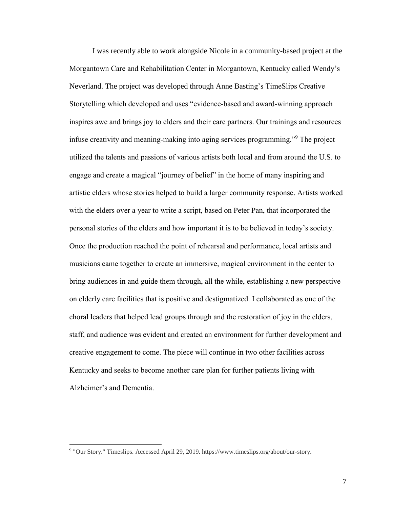I was recently able to work alongside Nicole in a community-based project at the Morgantown Care and Rehabilitation Center in Morgantown, Kentucky called Wendy's Neverland. The project was developed through Anne Basting's TimeSlips Creative Storytelling which developed and uses "evidence-based and award-winning approach inspires awe and brings joy to elders and their care partners. Our trainings and resources infuse creativity and meaning-making into aging services programming."<sup>9</sup> The project utilized the talents and passions of various artists both local and from around the U.S. to engage and create a magical "journey of belief" in the home of many inspiring and artistic elders whose stories helped to build a larger community response. Artists worked with the elders over a year to write a script, based on Peter Pan, that incorporated the personal stories of the elders and how important it is to be believed in today's society. Once the production reached the point of rehearsal and performance, local artists and musicians came together to create an immersive, magical environment in the center to bring audiences in and guide them through, all the while, establishing a new perspective on elderly care facilities that is positive and destigmatized. I collaborated as one of the choral leaders that helped lead groups through and the restoration of joy in the elders, staff, and audience was evident and created an environment for further development and creative engagement to come. The piece will continue in two other facilities across Kentucky and seeks to become another care plan for further patients living with Alzheimer's and Dementia.

 9 "Our Story." Timeslips. Accessed April 29, 2019. https://www.timeslips.org/about/our-story.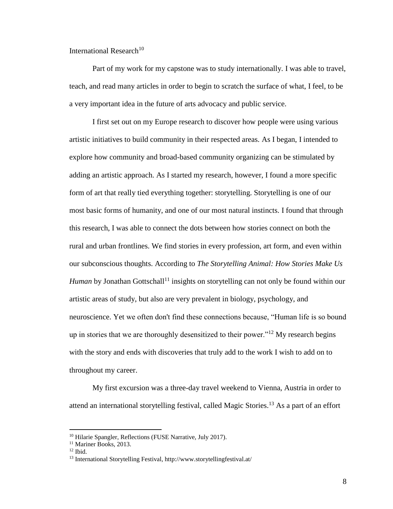International Research<sup>10</sup>

Part of my work for my capstone was to study internationally. I was able to travel, teach, and read many articles in order to begin to scratch the surface of what, I feel, to be a very important idea in the future of arts advocacy and public service.

I first set out on my Europe research to discover how people were using various artistic initiatives to build community in their respected areas. As I began, I intended to explore how community and broad-based community organizing can be stimulated by adding an artistic approach. As I started my research, however, I found a more specific form of art that really tied everything together: storytelling. Storytelling is one of our most basic forms of humanity, and one of our most natural instincts. I found that through this research, I was able to connect the dots between how stories connect on both the rural and urban frontlines. We find stories in every profession, art form, and even within our subconscious thoughts. According to *The Storytelling Animal: How Stories Make Us Human* by Jonathan Gottschall<sup>11</sup> insights on storytelling can not only be found within our artistic areas of study, but also are very prevalent in biology, psychology, and neuroscience. Yet we often don't find these connections because, "Human life is so bound up in stories that we are thoroughly desensitized to their power."<sup>12</sup> My research begins with the story and ends with discoveries that truly add to the work I wish to add on to throughout my career.

My first excursion was a three-day travel weekend to Vienna, Austria in order to attend an international storytelling festival, called Magic Stories.<sup>13</sup> As a part of an effort

<sup>10</sup> Hilarie Spangler, Reflections (FUSE Narrative, July 2017).

<sup>&</sup>lt;sup>11</sup> Mariner Books, 2013.

 $12$  Ibid.

<sup>13</sup> International Storytelling Festival, http://www.storytellingfestival.at/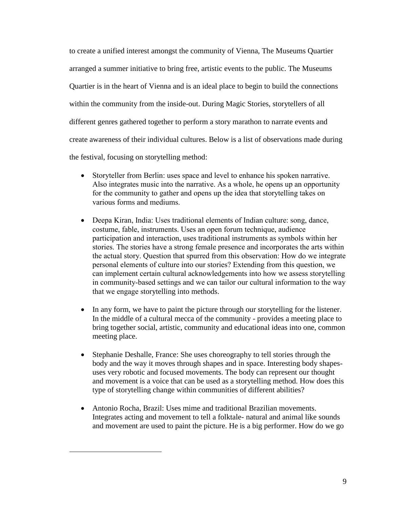to create a unified interest amongst the community of Vienna, The Museums Quartier arranged a summer initiative to bring free, artistic events to the public. The Museums Quartier is in the heart of Vienna and is an ideal place to begin to build the connections within the community from the inside-out. During Magic Stories, storytellers of all different genres gathered together to perform a story marathon to narrate events and create awareness of their individual cultures. Below is a list of observations made during the festival, focusing on storytelling method:

- Storyteller from Berlin: uses space and level to enhance his spoken narrative. Also integrates music into the narrative. As a whole, he opens up an opportunity for the community to gather and opens up the idea that storytelling takes on various forms and mediums.
- Deepa Kiran, India: Uses traditional elements of Indian culture: song, dance, costume, fable, instruments. Uses an open forum technique, audience participation and interaction, uses traditional instruments as symbols within her stories. The stories have a strong female presence and incorporates the arts within the actual story. Question that spurred from this observation: How do we integrate personal elements of culture into our stories? Extending from this question, we can implement certain cultural acknowledgements into how we assess storytelling in community-based settings and we can tailor our cultural information to the way that we engage storytelling into methods.
- In any form, we have to paint the picture through our storytelling for the listener. In the middle of a cultural mecca of the community - provides a meeting place to bring together social, artistic, community and educational ideas into one, common meeting place.
- Stephanie Deshalle, France: She uses choreography to tell stories through the body and the way it moves through shapes and in space. Interesting body shapesuses very robotic and focused movements. The body can represent our thought and movement is a voice that can be used as a storytelling method. How does this type of storytelling change within communities of different abilities?
- Antonio Rocha, Brazil: Uses mime and traditional Brazilian movements. Integrates acting and movement to tell a folktale- natural and animal like sounds and movement are used to paint the picture. He is a big performer. How do we go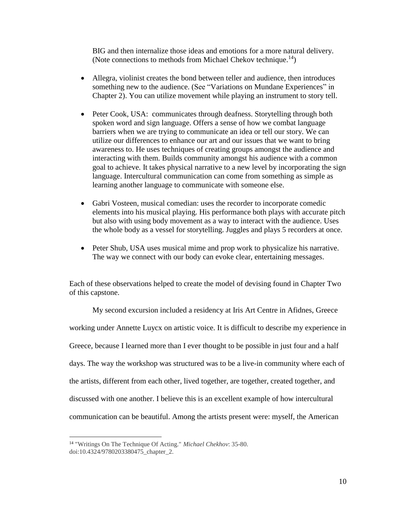BIG and then internalize those ideas and emotions for a more natural delivery. (Note connections to methods from Michael Chekov technique.<sup>14</sup>)

- Allegra, violinist creates the bond between teller and audience, then introduces something new to the audience. (See "Variations on Mundane Experiences" in Chapter 2). You can utilize movement while playing an instrument to story tell.
- Peter Cook, USA: communicates through deafness. Storytelling through both spoken word and sign language. Offers a sense of how we combat language barriers when we are trying to communicate an idea or tell our story. We can utilize our differences to enhance our art and our issues that we want to bring awareness to. He uses techniques of creating groups amongst the audience and interacting with them. Builds community amongst his audience with a common goal to achieve. It takes physical narrative to a new level by incorporating the sign language. Intercultural communication can come from something as simple as learning another language to communicate with someone else.
- Gabri Vosteen, musical comedian: uses the recorder to incorporate comedic elements into his musical playing. His performance both plays with accurate pitch but also with using body movement as a way to interact with the audience. Uses the whole body as a vessel for storytelling. Juggles and plays 5 recorders at once.
- Peter Shub, USA uses musical mime and prop work to physicalize his narrative. The way we connect with our body can evoke clear, entertaining messages.

Each of these observations helped to create the model of devising found in Chapter Two of this capstone.

My second excursion included a residency at Iris Art Centre in Afidnes, Greece working under Annette Luycx on artistic voice. It is difficult to describe my experience in Greece, because I learned more than I ever thought to be possible in just four and a half days. The way the workshop was structured was to be a live-in community where each of the artists, different from each other, lived together, are together, created together, and discussed with one another. I believe this is an excellent example of how intercultural communication can be beautiful. Among the artists present were: myself, the American

<sup>14</sup> "Writings On The Technique Of Acting." *Michael Chekhov*: 35-80. doi:10.4324/9780203380475\_chapter\_2.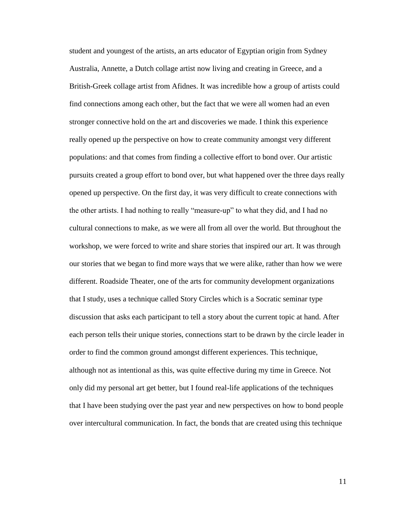student and youngest of the artists, an arts educator of Egyptian origin from Sydney Australia, Annette, a Dutch collage artist now living and creating in Greece, and a British-Greek collage artist from Afidnes. It was incredible how a group of artists could find connections among each other, but the fact that we were all women had an even stronger connective hold on the art and discoveries we made. I think this experience really opened up the perspective on how to create community amongst very different populations: and that comes from finding a collective effort to bond over. Our artistic pursuits created a group effort to bond over, but what happened over the three days really opened up perspective. On the first day, it was very difficult to create connections with the other artists. I had nothing to really "measure-up" to what they did, and I had no cultural connections to make, as we were all from all over the world. But throughout the workshop, we were forced to write and share stories that inspired our art. It was through our stories that we began to find more ways that we were alike, rather than how we were different. Roadside Theater, one of the arts for community development organizations that I study, uses a technique called Story Circles which is a Socratic seminar type discussion that asks each participant to tell a story about the current topic at hand. After each person tells their unique stories, connections start to be drawn by the circle leader in order to find the common ground amongst different experiences. This technique, although not as intentional as this, was quite effective during my time in Greece. Not only did my personal art get better, but I found real-life applications of the techniques that I have been studying over the past year and new perspectives on how to bond people over intercultural communication. In fact, the bonds that are created using this technique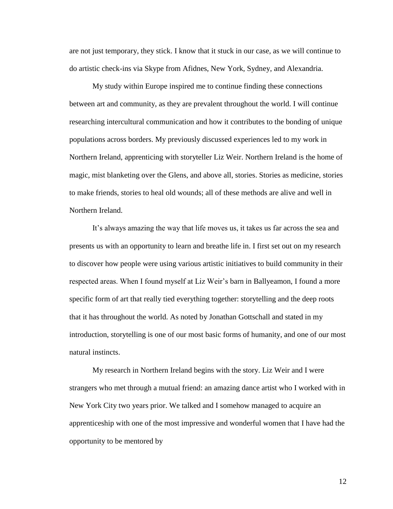are not just temporary, they stick. I know that it stuck in our case, as we will continue to do artistic check-ins via Skype from Afidnes, New York, Sydney, and Alexandria.

My study within Europe inspired me to continue finding these connections between art and community, as they are prevalent throughout the world. I will continue researching intercultural communication and how it contributes to the bonding of unique populations across borders. My previously discussed experiences led to my work in Northern Ireland, apprenticing with storyteller Liz Weir. Northern Ireland is the home of magic, mist blanketing over the Glens, and above all, stories. Stories as medicine, stories to make friends, stories to heal old wounds; all of these methods are alive and well in Northern Ireland.

It's always amazing the way that life moves us, it takes us far across the sea and presents us with an opportunity to learn and breathe life in. I first set out on my research to discover how people were using various artistic initiatives to build community in their respected areas. When I found myself at Liz Weir's barn in Ballyeamon, I found a more specific form of art that really tied everything together: storytelling and the deep roots that it has throughout the world. As noted by Jonathan Gottschall and stated in my introduction, storytelling is one of our most basic forms of humanity, and one of our most natural instincts.

My research in Northern Ireland begins with the story. Liz Weir and I were strangers who met through a mutual friend: an amazing dance artist who I worked with in New York City two years prior. We talked and I somehow managed to acquire an apprenticeship with one of the most impressive and wonderful women that I have had the opportunity to be mentored by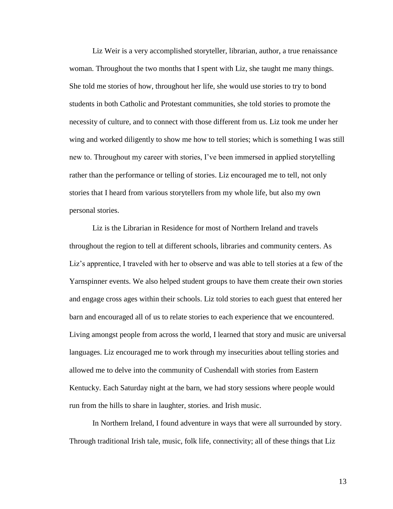Liz Weir is a very accomplished storyteller, librarian, author, a true renaissance woman. Throughout the two months that I spent with Liz, she taught me many things. She told me stories of how, throughout her life, she would use stories to try to bond students in both Catholic and Protestant communities, she told stories to promote the necessity of culture, and to connect with those different from us. Liz took me under her wing and worked diligently to show me how to tell stories; which is something I was still new to. Throughout my career with stories, I've been immersed in applied storytelling rather than the performance or telling of stories. Liz encouraged me to tell, not only stories that I heard from various storytellers from my whole life, but also my own personal stories.

Liz is the Librarian in Residence for most of Northern Ireland and travels throughout the region to tell at different schools, libraries and community centers. As Liz's apprentice, I traveled with her to observe and was able to tell stories at a few of the Yarnspinner events. We also helped student groups to have them create their own stories and engage cross ages within their schools. Liz told stories to each guest that entered her barn and encouraged all of us to relate stories to each experience that we encountered. Living amongst people from across the world, I learned that story and music are universal languages. Liz encouraged me to work through my insecurities about telling stories and allowed me to delve into the community of Cushendall with stories from Eastern Kentucky. Each Saturday night at the barn, we had story sessions where people would run from the hills to share in laughter, stories. and Irish music.

In Northern Ireland, I found adventure in ways that were all surrounded by story. Through traditional Irish tale, music, folk life, connectivity; all of these things that Liz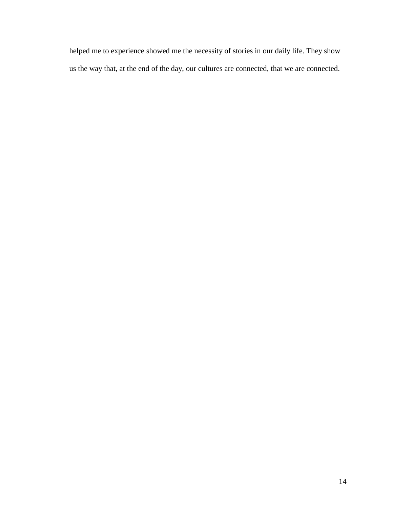helped me to experience showed me the necessity of stories in our daily life. They show us the way that, at the end of the day, our cultures are connected, that we are connected.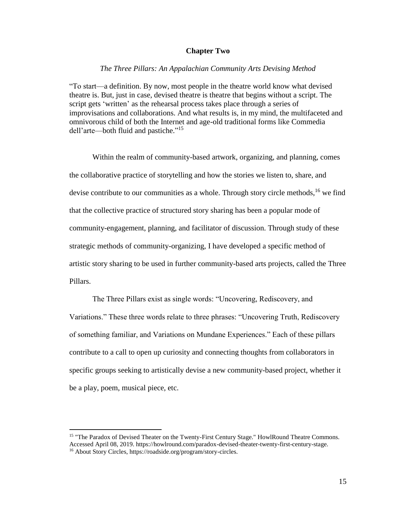### **Chapter Two**

### *The Three Pillars: An Appalachian Community Arts Devising Method*

"To start—a definition. By now, most people in the theatre world know what devised theatre is. But, just in case, devised theatre is theatre that begins without a script. The script gets 'written' as the rehearsal process takes place through a series of improvisations and collaborations. And what results is, in my mind, the multifaceted and omnivorous child of both the Internet and age-old traditional forms like Commedia dell'arte—both fluid and pastiche." 15

Within the realm of community-based artwork, organizing, and planning, comes the collaborative practice of storytelling and how the stories we listen to, share, and devise contribute to our communities as a whole. Through story circle methods,  $16$  we find that the collective practice of structured story sharing has been a popular mode of community-engagement, planning, and facilitator of discussion. Through study of these strategic methods of community-organizing, I have developed a specific method of artistic story sharing to be used in further community-based arts projects, called the Three Pillars.

The Three Pillars exist as single words: "Uncovering, Rediscovery, and Variations." These three words relate to three phrases: "Uncovering Truth, Rediscovery of something familiar, and Variations on Mundane Experiences." Each of these pillars contribute to a call to open up curiosity and connecting thoughts from collaborators in specific groups seeking to artistically devise a new community-based project, whether it be a play, poem, musical piece, etc.

<sup>&</sup>lt;sup>15</sup> "The Paradox of Devised Theater on the Twenty-First Century Stage." HowlRound Theatre Commons. Accessed April 08, 2019. https://howlround.com/paradox-devised-theater-twenty-first-century-stage. <sup>16</sup> About Story Circles, https://roadside.org/program/story-circles.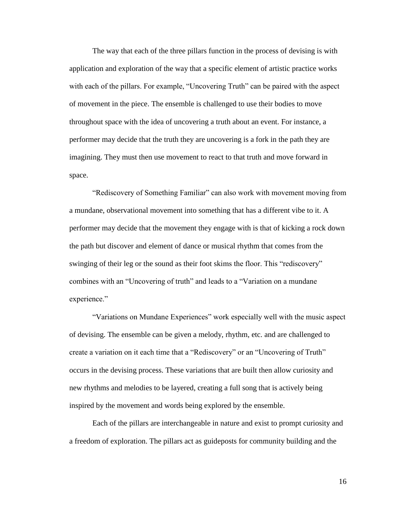The way that each of the three pillars function in the process of devising is with application and exploration of the way that a specific element of artistic practice works with each of the pillars. For example, "Uncovering Truth" can be paired with the aspect of movement in the piece. The ensemble is challenged to use their bodies to move throughout space with the idea of uncovering a truth about an event. For instance, a performer may decide that the truth they are uncovering is a fork in the path they are imagining. They must then use movement to react to that truth and move forward in space.

"Rediscovery of Something Familiar" can also work with movement moving from a mundane, observational movement into something that has a different vibe to it. A performer may decide that the movement they engage with is that of kicking a rock down the path but discover and element of dance or musical rhythm that comes from the swinging of their leg or the sound as their foot skims the floor. This "rediscovery" combines with an "Uncovering of truth" and leads to a "Variation on a mundane experience."

"Variations on Mundane Experiences" work especially well with the music aspect of devising. The ensemble can be given a melody, rhythm, etc. and are challenged to create a variation on it each time that a "Rediscovery" or an "Uncovering of Truth" occurs in the devising process. These variations that are built then allow curiosity and new rhythms and melodies to be layered, creating a full song that is actively being inspired by the movement and words being explored by the ensemble.

Each of the pillars are interchangeable in nature and exist to prompt curiosity and a freedom of exploration. The pillars act as guideposts for community building and the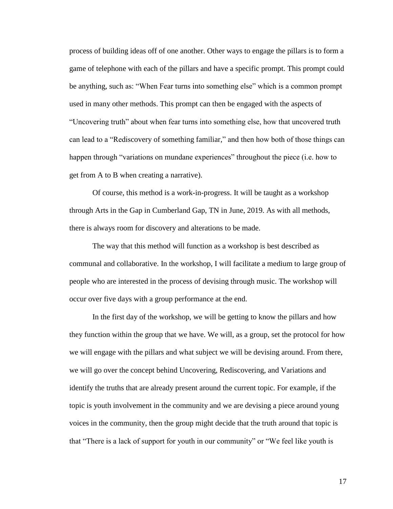process of building ideas off of one another. Other ways to engage the pillars is to form a game of telephone with each of the pillars and have a specific prompt. This prompt could be anything, such as: "When Fear turns into something else" which is a common prompt used in many other methods. This prompt can then be engaged with the aspects of "Uncovering truth" about when fear turns into something else, how that uncovered truth can lead to a "Rediscovery of something familiar," and then how both of those things can happen through "variations on mundane experiences" throughout the piece (i.e. how to get from A to B when creating a narrative).

Of course, this method is a work-in-progress. It will be taught as a workshop through Arts in the Gap in Cumberland Gap, TN in June, 2019. As with all methods, there is always room for discovery and alterations to be made.

The way that this method will function as a workshop is best described as communal and collaborative. In the workshop, I will facilitate a medium to large group of people who are interested in the process of devising through music. The workshop will occur over five days with a group performance at the end.

In the first day of the workshop, we will be getting to know the pillars and how they function within the group that we have. We will, as a group, set the protocol for how we will engage with the pillars and what subject we will be devising around. From there, we will go over the concept behind Uncovering, Rediscovering, and Variations and identify the truths that are already present around the current topic. For example, if the topic is youth involvement in the community and we are devising a piece around young voices in the community, then the group might decide that the truth around that topic is that "There is a lack of support for youth in our community" or "We feel like youth is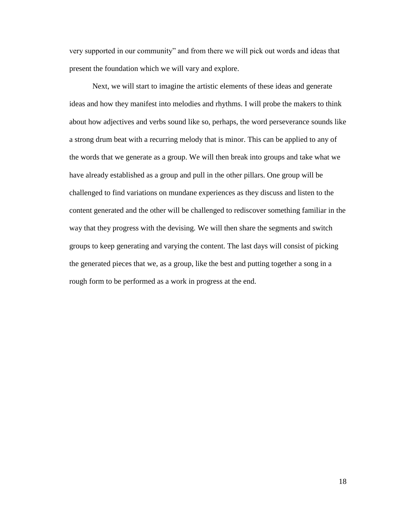very supported in our community" and from there we will pick out words and ideas that present the foundation which we will vary and explore.

Next, we will start to imagine the artistic elements of these ideas and generate ideas and how they manifest into melodies and rhythms. I will probe the makers to think about how adjectives and verbs sound like so, perhaps, the word perseverance sounds like a strong drum beat with a recurring melody that is minor. This can be applied to any of the words that we generate as a group. We will then break into groups and take what we have already established as a group and pull in the other pillars. One group will be challenged to find variations on mundane experiences as they discuss and listen to the content generated and the other will be challenged to rediscover something familiar in the way that they progress with the devising. We will then share the segments and switch groups to keep generating and varying the content. The last days will consist of picking the generated pieces that we, as a group, like the best and putting together a song in a rough form to be performed as a work in progress at the end.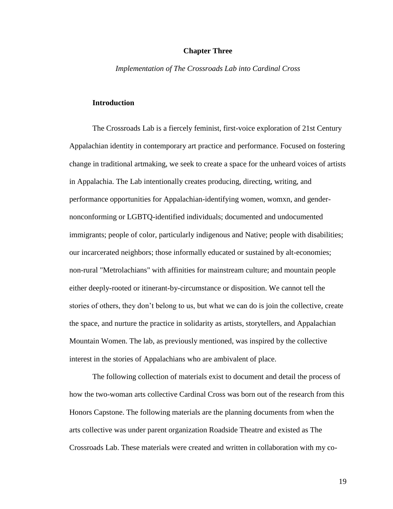### **Chapter Three**

*Implementation of The Crossroads Lab into Cardinal Cross*

### **Introduction**

The Crossroads Lab is a fiercely feminist, first-voice exploration of 21st Century Appalachian identity in contemporary art practice and performance. Focused on fostering change in traditional artmaking, we seek to create a space for the unheard voices of artists in Appalachia. The Lab intentionally creates producing, directing, writing, and performance opportunities for Appalachian-identifying women, womxn, and gendernonconforming or LGBTQ-identified individuals; documented and undocumented immigrants; people of color, particularly indigenous and Native; people with disabilities; our incarcerated neighbors; those informally educated or sustained by alt-economies; non-rural "Metrolachians" with affinities for mainstream culture; and mountain people either deeply-rooted or itinerant-by-circumstance or disposition. We cannot tell the stories of others, they don't belong to us, but what we can do is join the collective, create the space, and nurture the practice in solidarity as artists, storytellers, and Appalachian Mountain Women. The lab, as previously mentioned, was inspired by the collective interest in the stories of Appalachians who are ambivalent of place.

The following collection of materials exist to document and detail the process of how the two-woman arts collective Cardinal Cross was born out of the research from this Honors Capstone. The following materials are the planning documents from when the arts collective was under parent organization Roadside Theatre and existed as The Crossroads Lab. These materials were created and written in collaboration with my co-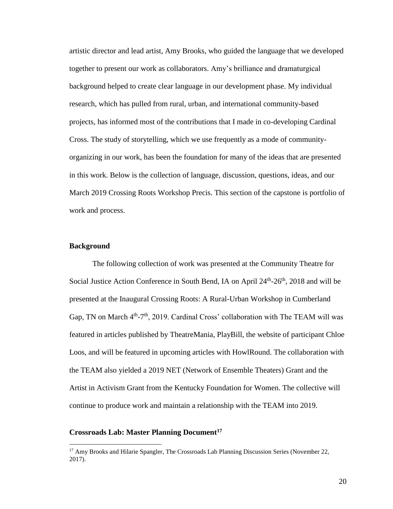artistic director and lead artist, Amy Brooks, who guided the language that we developed together to present our work as collaborators. Amy's brilliance and dramaturgical background helped to create clear language in our development phase. My individual research, which has pulled from rural, urban, and international community-based projects, has informed most of the contributions that I made in co-developing Cardinal Cross. The study of storytelling, which we use frequently as a mode of communityorganizing in our work, has been the foundation for many of the ideas that are presented in this work. Below is the collection of language, discussion, questions, ideas, and our March 2019 Crossing Roots Workshop Precis. This section of the capstone is portfolio of work and process.

### **Background**

 $\overline{a}$ 

The following collection of work was presented at the Community Theatre for Social Justice Action Conference in South Bend, IA on April 24<sup>th</sup>-26<sup>th</sup>, 2018 and will be presented at the Inaugural Crossing Roots: A Rural-Urban Workshop in Cumberland Gap, TN on March 4<sup>th</sup>-7<sup>th</sup>, 2019. Cardinal Cross' collaboration with The TEAM will was featured in articles published by TheatreMania, PlayBill, the website of participant Chloe Loos, and will be featured in upcoming articles with HowlRound. The collaboration with the TEAM also yielded a 2019 NET (Network of Ensemble Theaters) Grant and the Artist in Activism Grant from the Kentucky Foundation for Women. The collective will continue to produce work and maintain a relationship with the TEAM into 2019.

# **Crossroads Lab: Master Planning Document<sup>17</sup>**

<sup>&</sup>lt;sup>17</sup> Amy Brooks and Hilarie Spangler, The Crossroads Lab Planning Discussion Series (November 22, 2017).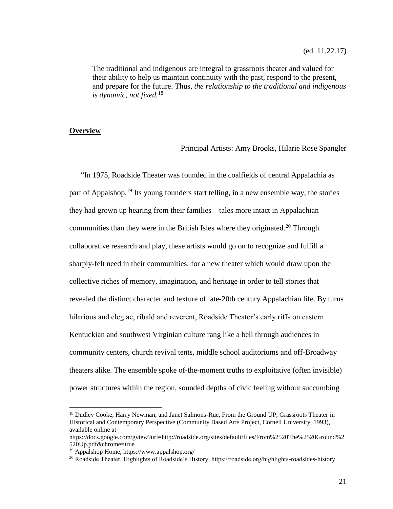The traditional and indigenous are integral to grassroots theater and valued for their ability to help us maintain continuity with the past, respond to the present, and prepare for the future. Thus, *the relationship to the traditional and indigenous is dynamic, not fixed.*<sup>18</sup>

### **Overview**

 $\overline{a}$ 

Principal Artists: Amy Brooks, Hilarie Rose Spangler

"In 1975, Roadside Theater was founded in the coalfields of central Appalachia as part of Appalshop.<sup>19</sup> Its young founders start telling, in a new ensemble way, the stories they had grown up hearing from their families – tales more intact in Appalachian communities than they were in the British Isles where they originated.<sup>20</sup> Through collaborative research and play, these artists would go on to recognize and fulfill a sharply-felt need in their communities: for a new theater which would draw upon the collective riches of memory, imagination, and heritage in order to tell stories that revealed the distinct character and texture of late-20th century Appalachian life. By turns hilarious and elegiac, ribald and reverent, Roadside Theater's early riffs on eastern Kentuckian and southwest Virginian culture rang like a bell through audiences in community centers, church revival tents, middle school auditoriums and off-Broadway theaters alike. The ensemble spoke of-the-moment truths to exploitative (often invisible) power structures within the region, sounded depths of civic feeling without succumbing

<sup>&</sup>lt;sup>18</sup> Dudley Cooke, Harry Newman, and Janet Salmons-Rue, From the Ground UP, Grassroots Theater in Historical and Contemporary Perspective (Community Based Arts Project, Cornell University, 1993), available online at

https://docs.google.com/gview?url=http://roadside.org/sites/default/files/From%2520The%2520Ground%2 520Up.pdf&chrome=true

<sup>19</sup> Appalshop Home, https://www.appalshop.org/

<sup>20</sup> Roadside Theater, Highlights of Roadside's History, https://roadside.org/highlights-roadsides-history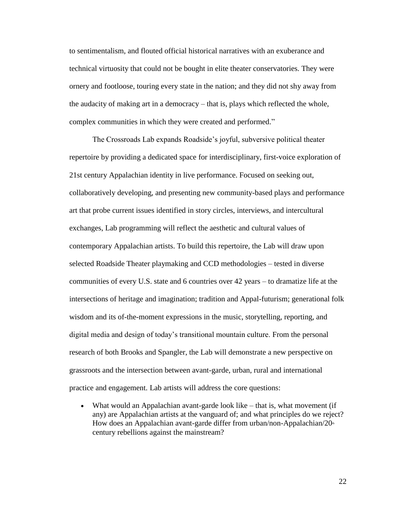to sentimentalism, and flouted official historical narratives with an exuberance and technical virtuosity that could not be bought in elite theater conservatories. They were ornery and footloose, touring every state in the nation; and they did not shy away from the audacity of making art in a democracy – that is, plays which reflected the whole, complex communities in which they were created and performed."

The Crossroads Lab expands Roadside's joyful, subversive political theater repertoire by providing a dedicated space for interdisciplinary, first-voice exploration of 21st century Appalachian identity in live performance. Focused on seeking out, collaboratively developing, and presenting new community-based plays and performance art that probe current issues identified in story circles, interviews, and intercultural exchanges, Lab programming will reflect the aesthetic and cultural values of contemporary Appalachian artists. To build this repertoire, the Lab will draw upon selected Roadside Theater playmaking and CCD methodologies – tested in diverse communities of every U.S. state and 6 countries over 42 years – to dramatize life at the intersections of heritage and imagination; tradition and Appal-futurism; generational folk wisdom and its of-the-moment expressions in the music, storytelling, reporting, and digital media and design of today's transitional mountain culture. From the personal research of both Brooks and Spangler, the Lab will demonstrate a new perspective on grassroots and the intersection between avant-garde, urban, rural and international practice and engagement. Lab artists will address the core questions:

 What would an Appalachian avant-garde look like – that is, what movement (if any) are Appalachian artists at the vanguard of; and what principles do we reject? How does an Appalachian avant-garde differ from urban/non-Appalachian/20th century rebellions against the mainstream?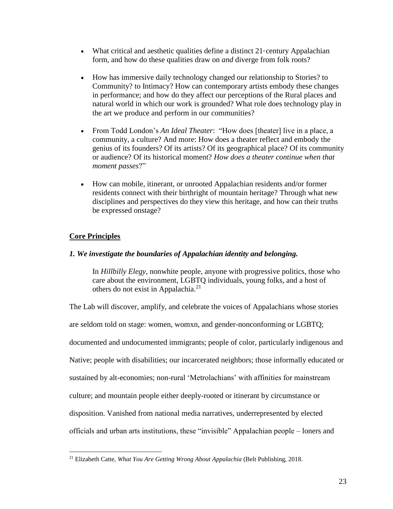- What critical and aesthetic qualities define a distinct  $21$  century Appalachian form, and how do these qualities draw on *and* diverge from folk roots?
- How has immersive daily technology changed our relationship to Stories? to Community? to Intimacy? How can contemporary artists embody these changes in performance; and how do they affect our perceptions of the Rural places and natural world in which our work is grounded? What role does technology play in the art we produce and perform in our communities?
- From Todd London's *An Ideal Theater*: "How does [theater] live in a place, a community, a culture? And more: How does a theater reflect and embody the genius of its founders? Of its artists? Of its geographical place? Of its community or audience? Of its historical moment? *How does a theater continue when that moment passes*?"
- How can mobile, itinerant, or unrooted Appalachian residents and/or former residents connect with their birthright of mountain heritage? Through what new disciplines and perspectives do they view this heritage, and how can their truths be expressed onstage?

# **Core Principles**

 $\overline{a}$ 

# *1. We investigate the boundaries of Appalachian identity and belonging.*

In *Hillbilly Elegy*, nonwhite people, anyone with progressive politics, those who care about the environment, LGBTQ individuals, young folks, and a host of others do not exist in Appalachia.<sup>21</sup>

The Lab will discover, amplify, and celebrate the voices of Appalachians whose stories are seldom told on stage: women, womxn, and gender-nonconforming or LGBTQ; documented and undocumented immigrants; people of color, particularly indigenous and Native; people with disabilities; our incarcerated neighbors; those informally educated or sustained by alt-economies; non-rural 'Metrolachians' with affinities for mainstream culture; and mountain people either deeply-rooted or itinerant by circumstance or disposition. Vanished from national media narratives, underrepresented by elected officials and urban arts institutions, these "invisible" Appalachian people – loners and

<sup>21</sup> Elizabeth Catte, *What You Are Getting Wrong About Appalachia* (Belt Publishing, 2018.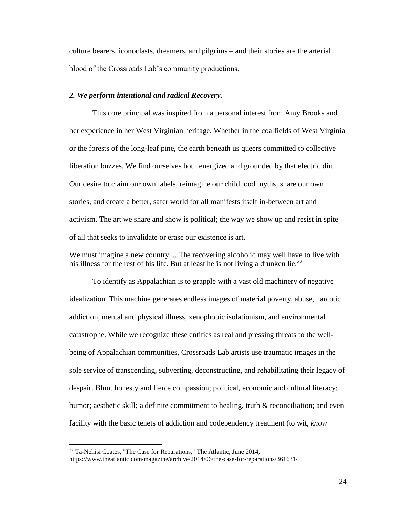culture bearers, iconoclasts, dreamers, and pilgrims – and their stories are the arterial blood of the Crossroads Lab's community productions.

### *2. We perform intentional and radical Recovery.*

This core principal was inspired from a personal interest from Amy Brooks and her experience in her West Virginian heritage. Whether in the coalfields of West Virginia or the forests of the long-leaf pine, the earth beneath us queers committed to collective liberation buzzes. We find ourselves both energized and grounded by that electric dirt. Our desire to claim our own labels, reimagine our childhood myths, share our own stories, and create a better, safer world for all manifests itself in-between art and activism. The art we share and show is political; the way we show up and resist in spite of all that seeks to invalidate or erase our existence is art.

We must imagine a new country. ...The recovering alcoholic may well have to live with his illness for the rest of his life. But at least he is not living a drunken lie.<sup>22</sup>

To identify as Appalachian is to grapple with a vast old machinery of negative idealization. This machine generates endless images of material poverty, abuse, narcotic addiction, mental and physical illness, xenophobic isolationism, and environmental catastrophe. While we recognize these entities as real and pressing threats to the wellbeing of Appalachian communities, Crossroads Lab artists use traumatic images in the sole service of transcending, subverting, deconstructing, and rehabilitating their legacy of despair. Blunt honesty and fierce compassion; political, economic and cultural literacy; humor; aesthetic skill; a definite commitment to healing, truth & reconciliation; and even facility with the basic tenets of addiction and codependency treatment (to wit, *know* 

<sup>22</sup> Ta-Nehisi Coates, "The Case for Reparations," The Atlantic, June 2014,

https://www.theatlantic.com/magazine/archive/2014/06/the-case-for-reparations/361631/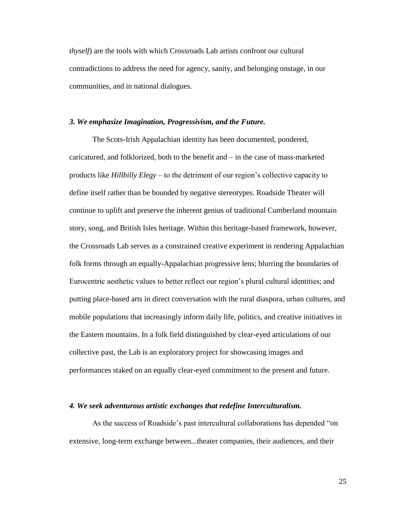*thyself*) are the tools with which Crossroads Lab artists confront our cultural contradictions to address the need for agency, sanity, and belonging onstage, in our communities, and in national dialogues.

### *3. We emphasize Imagination, Progressivism, and the Future.*

The Scots-Irish Appalachian identity has been documented, pondered, caricatured, and folklorized, both to the benefit and – in the case of mass-marketed products like *Hillbilly Elegy* – to the detriment of our region's collective capacity to define itself rather than be bounded by negative stereotypes. Roadside Theater will continue to uplift and preserve the inherent genius of traditional Cumberland mountain story, song, and British Isles heritage. Within this heritage-based framework, however, the Crossroads Lab serves as a constrained creative experiment in rendering Appalachian folk forms through an equally-Appalachian progressive lens; blurring the boundaries of Eurocentric aesthetic values to better reflect our region's plural cultural identities; and putting place-based arts in direct conversation with the rural diaspora, urban cultures, and mobile populations that increasingly inform daily life, politics, and creative initiatives in the Eastern mountains. In a folk field distinguished by clear-eyed articulations of our collective past, the Lab is an exploratory project for showcasing images and performances staked on an equally clear-eyed commitment to the present and future.

### *4. We seek adventurous artistic exchanges that redefine Interculturalism.*

As the success of Roadside's past intercultural collaborations has depended "on extensive, long-term exchange between...theater companies, their audiences, and their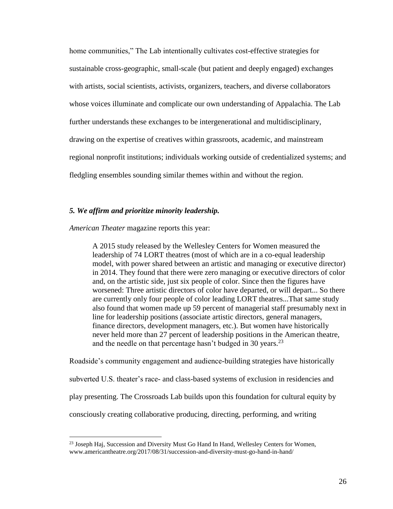home communities," The Lab intentionally cultivates cost-effective strategies for sustainable cross-geographic, small-scale (but patient and deeply engaged) exchanges with artists, social scientists, activists, organizers, teachers, and diverse collaborators whose voices illuminate and complicate our own understanding of Appalachia. The Lab further understands these exchanges to be intergenerational and multidisciplinary, drawing on the expertise of creatives within grassroots, academic, and mainstream regional nonprofit institutions; individuals working outside of credentialized systems; and fledgling ensembles sounding similar themes within and without the region.

### *5. We affirm and prioritize minority leadership.*

*American Theater* magazine reports this year:

 $\overline{a}$ 

A 2015 study released by the Wellesley Centers for Women measured the leadership of 74 LORT theatres (most of which are in a co-equal leadership model, with power shared between an artistic and managing or executive director) in 2014. They found that there were zero managing or executive directors of color and, on the artistic side, just six people of color. Since then the figures have worsened: Three artistic directors of color have departed, or will depart... So there are currently only four people of color leading LORT theatres...That same study also found that women made up 59 percent of managerial staff presumably next in line for leadership positions (associate artistic directors, general managers, finance directors, development managers, etc.). But women have historically never held more than 27 percent of leadership positions in the American theatre, and the needle on that percentage hasn't budged in 30 years. $^{23}$ 

Roadside's community engagement and audience-building strategies have historically

subverted U.S. theater's race- and class-based systems of exclusion in residencies and

play presenting. The Crossroads Lab builds upon this foundation for cultural equity by

consciously creating collaborative producing, directing, performing, and writing

<sup>&</sup>lt;sup>23</sup> Joseph Haj, Succession and Diversity Must Go Hand In Hand, Wellesley Centers for Women, www.americantheatre.org/2017/08/31/succession-and-diversity-must-go-hand-in-hand/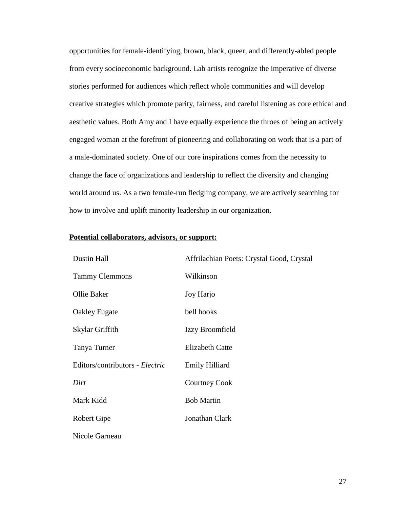opportunities for female-identifying, brown, black, queer, and differently-abled people from every socioeconomic background. Lab artists recognize the imperative of diverse stories performed for audiences which reflect whole communities and will develop creative strategies which promote parity, fairness, and careful listening as core ethical and aesthetic values. Both Amy and I have equally experience the throes of being an actively engaged woman at the forefront of pioneering and collaborating on work that is a part of a male-dominated society. One of our core inspirations comes from the necessity to change the face of organizations and leadership to reflect the diversity and changing world around us. As a two female-run fledgling company, we are actively searching for how to involve and uplift minority leadership in our organization.

### **Potential collaborators, advisors, or support:**

| Dustin Hall                     | Affrilachian Poets: Crystal Good, Crystal |
|---------------------------------|-------------------------------------------|
| <b>Tammy Clemmons</b>           | Wilkinson                                 |
| Ollie Baker                     | Joy Harjo                                 |
| Oakley Fugate                   | bell hooks                                |
| Skylar Griffith                 | Izzy Broomfield                           |
| Tanya Turner                    | <b>Elizabeth Catte</b>                    |
| Editors/contributors - Electric | <b>Emily Hilliard</b>                     |
| Dirt                            | <b>Courtney Cook</b>                      |
| Mark Kidd                       | <b>Bob Martin</b>                         |
| Robert Gipe                     | Jonathan Clark                            |
| Nicole Garneau                  |                                           |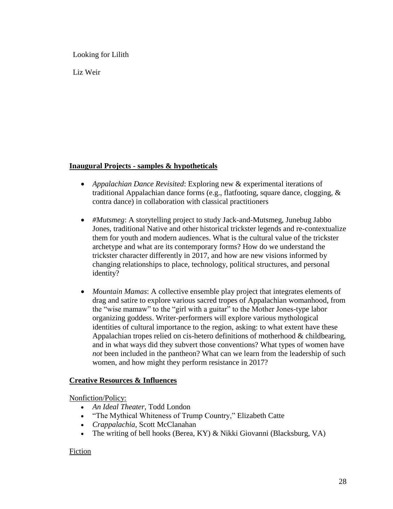Looking for Lilith

Liz Weir

# **Inaugural Projects - samples & hypotheticals**

- *Appalachian Dance Revisited*: Exploring new & experimental iterations of traditional Appalachian dance forms (e.g., flatfooting, square dance, clogging, & contra dance) in collaboration with classical practitioners
- *#Mutsmeg*: A storytelling project to study Jack-and-Mutsmeg, Junebug Jabbo Jones, traditional Native and other historical trickster legends and re-contextualize them for youth and modern audiences. What is the cultural value of the trickster archetype and what are its contemporary forms? How do we understand the trickster character differently in 2017, and how are new visions informed by changing relationships to place, technology, political structures, and personal identity?
- *Mountain Mamas*: A collective ensemble play project that integrates elements of drag and satire to explore various sacred tropes of Appalachian womanhood, from the "wise mamaw" to the "girl with a guitar" to the Mother Jones-type labor organizing goddess. Writer-performers will explore various mythological identities of cultural importance to the region, asking: to what extent have these Appalachian tropes relied on cis-hetero definitions of motherhood & childbearing, and in what ways did they subvert those conventions? What types of women have *not* been included in the pantheon? What can we learn from the leadership of such women, and how might they perform resistance in 2017?

# **Creative Resources & Influences**

Nonfiction/Policy:

- *An Ideal Theater*, Todd London
- "The Mythical Whiteness of Trump Country," Elizabeth Catte
- *Crappalachia*, Scott McClanahan
- The writing of bell hooks (Berea, KY) & Nikki Giovanni (Blacksburg, VA)

# Fiction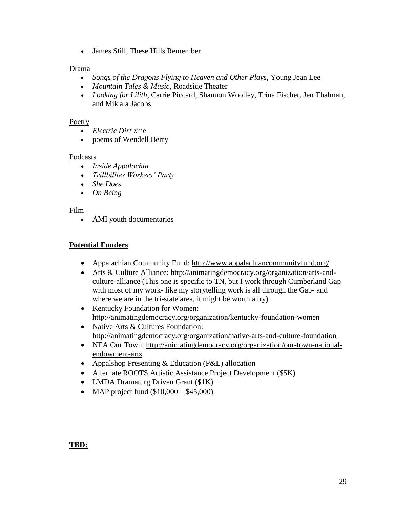James Still, These Hills Remember

# Drama

- *Songs of the Dragons Flying to Heaven and Other Plays*, Young Jean Lee
- *Mountain Tales & Music*, Roadside Theater
- *Looking for Lilith*, Carrie Piccard, Shannon Woolley, Trina Fischer, Jen Thalman, and Mik'ala Jacobs

# Poetry

- *Electric Dirt* zine
- poems of Wendell Berry

# Podcasts

- *Inside Appalachia*
- *Trillbillies Workers' Party*
- *She Does*
- *On Being*

# Film

AMI youth documentaries

# **Potential Funders**

- Appalachian Community Fund: <http://www.appalachiancommunityfund.org/>
- Arts & Culture Alliance: [http://animatingdemocracy.org/organization/arts-and](http://animatingdemocracy.org/organization/arts-and-culture-alliance)[culture-alliance](http://animatingdemocracy.org/organization/arts-and-culture-alliance) (This one is specific to TN, but I work through Cumberland Gap with most of my work- like my storytelling work is all through the Gap- and where we are in the tri-state area, it might be worth a try)
- Kentucky Foundation for Women: <http://animatingdemocracy.org/organization/kentucky-foundation-women>
- Native Arts & Cultures Foundation: <http://animatingdemocracy.org/organization/native-arts-and-culture-foundation>
- NEA Our Town: [http://animatingdemocracy.org/organization/our-town-national](http://animatingdemocracy.org/organization/our-town-national-endowment-arts)[endowment-arts](http://animatingdemocracy.org/organization/our-town-national-endowment-arts)
- Appalshop Presenting & Education (P&E) allocation
- Alternate ROOTS Artistic Assistance Project Development (\$5K)
- LMDA Dramaturg Driven Grant (\$1K)
- MAP project fund  $(\$10,000 \$45,000)$

# **TBD:**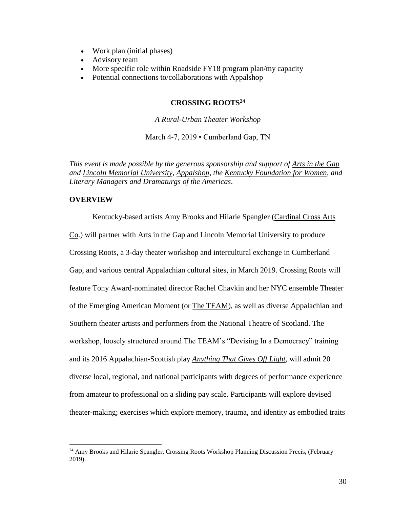- Work plan (initial phases)
- Advisory team
- More specific role within Roadside FY18 program plan/my capacity
- Potential connections to/collaborations with Appalshop

### **CROSSING ROOTS<sup>24</sup>**

*A Rural-Urban Theater Workshop*

March 4-7, 2019 • Cumberland Gap, TN

*This event is made possible by the generous sponsorship and support of [Arts in the Gap](https://www.lmunet.edu/about-lmu/community/arts-in-the-gap) and [Lincoln Memorial University,](https://www.lmunet.edu/) [Appalshop,](https://www.appalshop.org/) the [Kentucky Foundation for Women,](http://www.kfw.org/) and [Literary Managers and Dramaturgs of the Americas](https://lmda.org/)*.

### **OVERVIEW**

 $\overline{a}$ 

Kentucky-based artists Amy Brooks and Hilarie Spangler [\(Cardinal Cross Arts](https://www.cardinalcross.org/)  [Co.](https://www.cardinalcross.org/)) will partner with Arts in the Gap and Lincoln Memorial University to produce Crossing Roots, a 3-day theater workshop and intercultural exchange in Cumberland Gap, and various central Appalachian cultural sites, in March 2019. Crossing Roots will feature Tony Award-nominated director Rachel Chavkin and her NYC ensemble Theater of the Emerging American Moment (or [The TEAM\)](http://theteamplays.org/), as well as diverse Appalachian and Southern theater artists and performers from the National Theatre of Scotland. The workshop, loosely structured around The TEAM's "Devising In a Democracy" training and its 2016 Appalachian-Scottish play *[Anything That Gives Off Light](https://vimeo.com/178902729)*, will admit 20 diverse local, regional, and national participants with degrees of performance experience from amateur to professional on a sliding pay scale. Participants will explore devised theater-making; exercises which explore memory, trauma, and identity as embodied traits

<sup>&</sup>lt;sup>24</sup> Amy Brooks and Hilarie Spangler, Crossing Roots Workshop Planning Discussion Precis, (February 2019).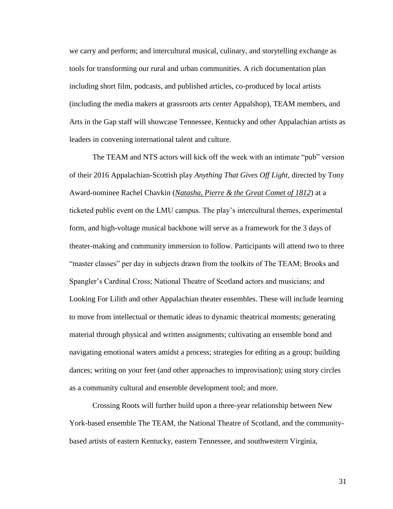we carry and perform; and intercultural musical, culinary, and storytelling exchange as tools for transforming our rural and urban communities. A rich documentation plan including short film, podcasts, and published articles, co-produced by local artists (including the media makers at grassroots arts center Appalshop), TEAM members, and Arts in the Gap staff will showcase Tennessee, Kentucky and other Appalachian artists as leaders in convening international talent and culture.

The TEAM and NTS actors will kick off the week with an intimate "pub" version of their 2016 Appalachian-Scottish play *Anything That Gives Off Light*, directed by Tony Award-nominee Rachel Chavkin (*[Natasha, Pierre & the Great Comet of 1812](https://variety.com/2018/legit/columns/great-comet-musical-whats-next-1202704598/)*) at a ticketed public event on the LMU campus. The play's intercultural themes, experimental form, and high-voltage musical backbone will serve as a framework for the 3 days of theater-making and community immersion to follow. Participants will attend two to three "master classes" per day in subjects drawn from the toolkits of The TEAM; Brooks and Spangler's Cardinal Cross; National Theatre of Scotland actors and musicians; and Looking For Lilith and other Appalachian theater ensembles. These will include learning to move from intellectual or thematic ideas to dynamic theatrical moments; generating material through physical and written assignments; cultivating an ensemble bond and navigating emotional waters amidst a process; strategies for editing as a group; building dances; writing on your feet (and other approaches to improvisation); using story circles as a community cultural and ensemble development tool; and more.

Crossing Roots will further build upon a three-year relationship between New York-based ensemble The TEAM, the National Theatre of Scotland, and the communitybased artists of eastern Kentucky, eastern Tennessee, and southwestern Virginia,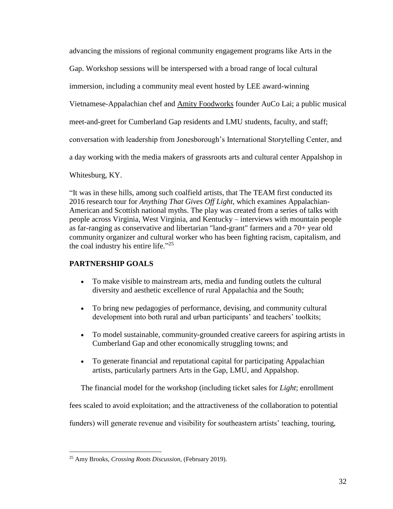advancing the missions of regional community engagement programs like Arts in the Gap. Workshop sessions will be interspersed with a broad range of local cultural immersion, including a community meal event hosted by LEE award-winning Vietnamese-Appalachian chef and [Amity Foodworks](https://www.amityfoodworks.com/) founder AuCo Lai; a public musical meet-and-greet for Cumberland Gap residents and LMU students, faculty, and staff; conversation with leadership from Jonesborough's International Storytelling Center, and a day working with the media makers of grassroots arts and cultural center Appalshop in Whitesburg, KY.

"It was in these hills, among such coalfield artists, that The TEAM first conducted its 2016 research tour for *Anything That Gives Off Light*, which examines Appalachian-American and Scottish national myths. The play was created from a series of talks with people across Virginia, West Virginia, and Kentucky – interviews with mountain people as far-ranging as conservative and libertarian "land-grant" farmers and a 70+ year old community organizer and cultural worker who has been fighting racism, capitalism, and the coal industry his entire life."<sup>25</sup>

# **PARTNERSHIP GOALS**

- To make visible to mainstream arts, media and funding outlets the cultural diversity and aesthetic excellence of rural Appalachia and the South;
- To bring new pedagogies of performance, devising, and community cultural development into both rural and urban participants' and teachers' toolkits;
- To model sustainable, community-grounded creative careers for aspiring artists in Cumberland Gap and other economically struggling towns; and
- To generate financial and reputational capital for participating Appalachian artists, particularly partners Arts in the Gap, LMU, and Appalshop.

The financial model for the workshop (including ticket sales for *Light*; enrollment

fees scaled to avoid exploitation; and the attractiveness of the collaboration to potential

funders) will generate revenue and visibility for southeastern artists' teaching, touring,

 $\overline{a}$ <sup>25</sup> Amy Brooks, *Crossing Roots Discussion,* (February 2019).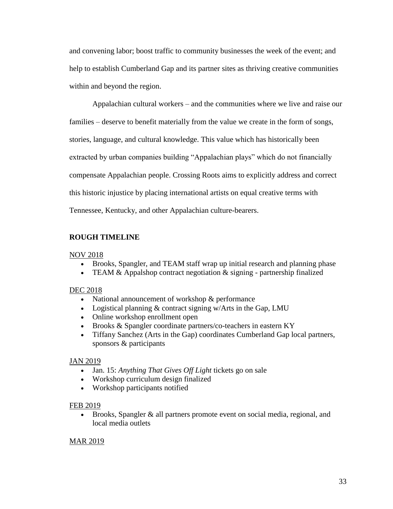and convening labor; boost traffic to community businesses the week of the event; and help to establish Cumberland Gap and its partner sites as thriving creative communities within and beyond the region.

Appalachian cultural workers – and the communities where we live and raise our families – deserve to benefit materially from the value we create in the form of songs, stories, language, and cultural knowledge. This value which has historically been extracted by urban companies building "Appalachian plays" which do not financially compensate Appalachian people. Crossing Roots aims to explicitly address and correct this historic injustice by placing international artists on equal creative terms with Tennessee, Kentucky, and other Appalachian culture-bearers.

# **ROUGH TIMELINE**

# NOV 2018

- Brooks, Spangler, and TEAM staff wrap up initial research and planning phase
- TEAM & Appalshop contract negotiation  $\&$  signing partnership finalized

# DEC 2018

- National announcement of workshop  $&$  performance
- Logistical planning  $&$  contract signing w/Arts in the Gap, LMU
- Online workshop enrollment open
- Brooks & Spangler coordinate partners/co-teachers in eastern KY
- Tiffany Sanchez (Arts in the Gap) coordinates Cumberland Gap local partners, sponsors & participants

# JAN 2019

- Jan. 15: *Anything That Gives Off Light* tickets go on sale
- Workshop curriculum design finalized
- Workshop participants notified

# FEB 2019

 Brooks, Spangler & all partners promote event on social media, regional, and local media outlets

# MAR 2019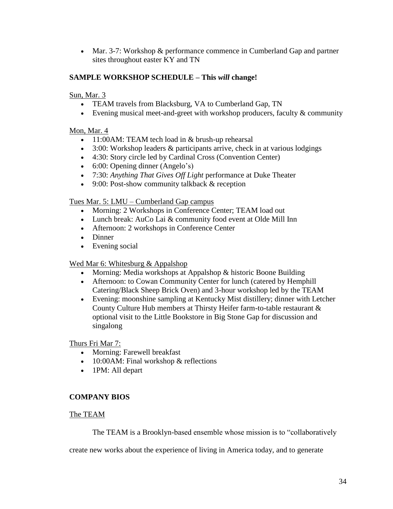Mar. 3-7: Workshop & performance commence in Cumberland Gap and partner sites throughout easter KY and TN

# **SAMPLE WORKSHOP SCHEDULE – This** *will* **change!**

# Sun, Mar. 3

- TEAM travels from Blacksburg, VA to Cumberland Gap, TN
- Evening musical meet-and-greet with workshop producers, faculty  $&$  community

# Mon, Mar. 4

- 11:00AM: TEAM tech load in & brush-up rehearsal
- 3:00: Workshop leaders & participants arrive, check in at various lodgings
- 4:30: Story circle led by Cardinal Cross (Convention Center)
- 6:00: Opening dinner (Angelo's)
- 7:30: *Anything That Gives Off Light* performance at Duke Theater
- 9:00: Post-show community talkback & reception

# Tues Mar. 5: LMU – Cumberland Gap campus

- Morning: 2 Workshops in Conference Center; TEAM load out
- Lunch break: AuCo Lai & community food event at Olde Mill Inn
- Afternoon: 2 workshops in Conference Center
- Dinner
- Evening social

# Wed Mar 6: Whitesburg & Appalshop

- Morning: Media workshops at Appalshop & historic Boone Building
- Afternoon: to Cowan Community Center for lunch (catered by Hemphill Catering/Black Sheep Brick Oven) and 3-hour workshop led by the TEAM
- Evening: moonshine sampling at Kentucky Mist distillery; dinner with Letcher County Culture Hub members at Thirsty Heifer farm-to-table restaurant & optional visit to the Little Bookstore in Big Stone Gap for discussion and singalong

Thurs Fri Mar 7:

- Morning: Farewell breakfast
- 10:00AM: Final workshop & reflections
- 1PM: All depart

# **COMPANY BIOS**

# The TEAM

The TEAM is a Brooklyn-based ensemble whose mission is to "collaboratively

create new works about the experience of living in America today, and to generate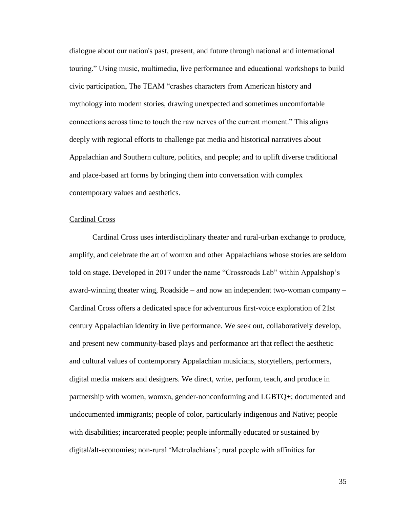dialogue about our nation's past, present, and future through national and international touring." Using music, multimedia, live performance and educational workshops to build civic participation, The TEAM "crashes characters from American history and mythology into modern stories, drawing unexpected and sometimes uncomfortable connections across time to touch the raw nerves of the current moment." This aligns deeply with regional efforts to challenge pat media and historical narratives about Appalachian and Southern culture, politics, and people; and to uplift diverse traditional and place-based art forms by bringing them into conversation with complex contemporary values and aesthetics.

### Cardinal Cross

Cardinal Cross uses interdisciplinary theater and rural-urban exchange to produce, amplify, and celebrate the art of womxn and other Appalachians whose stories are seldom told on stage. Developed in 2017 under the name "Crossroads Lab" within Appalshop's award-winning theater wing, Roadside – and now an independent two-woman company – Cardinal Cross offers a dedicated space for adventurous first-voice exploration of 21st century Appalachian identity in live performance. We seek out, collaboratively develop, and present new community-based plays and performance art that reflect the aesthetic and cultural values of contemporary Appalachian musicians, storytellers, performers, digital media makers and designers. We direct, write, perform, teach, and produce in partnership with women, womxn, gender-nonconforming and LGBTQ+; documented and undocumented immigrants; people of color, particularly indigenous and Native; people with disabilities; incarcerated people; people informally educated or sustained by digital/alt-economies; non-rural 'Metrolachians'; rural people with affinities for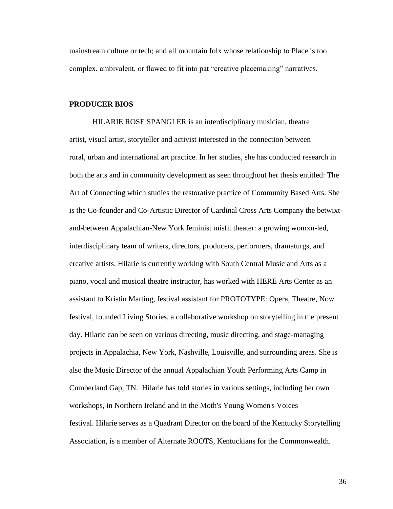mainstream culture or tech; and all mountain folx whose relationship to Place is too complex, ambivalent, or flawed to fit into pat "creative placemaking" narratives.

### **PRODUCER BIOS**

HILARIE ROSE SPANGLER is an interdisciplinary musician, theatre artist, visual artist, storyteller and activist interested in the connection between rural, urban and international art practice. In her studies, she has conducted research in both the arts and in community development as seen throughout her thesis entitled: The Art of Connecting which studies the restorative practice of Community Based Arts. She is the Co-founder and Co-Artistic Director of Cardinal Cross Arts Company the betwixtand-between Appalachian-New York feminist misfit theater: a growing womxn-led, interdisciplinary team of writers, directors, producers, performers, dramaturgs, and creative artists. Hilarie is currently working with South Central Music and Arts as a piano, vocal and musical theatre instructor, has worked with HERE Arts Center as an assistant to Kristin Marting, festival assistant for PROTOTYPE: Opera, Theatre, Now festival, founded Living Stories, a collaborative workshop on storytelling in the present day. Hilarie can be seen on various directing, music directing, and stage-managing projects in Appalachia, New York, Nashville, Louisville, and surrounding areas. She is also the Music Director of the annual Appalachian Youth Performing Arts Camp in Cumberland Gap, TN. Hilarie has told stories in various settings, including her own workshops, in Northern Ireland and in the Moth's Young Women's Voices festival. Hilarie serves as a Quadrant Director on the board of the Kentucky Storytelling Association, is a member of Alternate ROOTS, Kentuckians for the Commonwealth.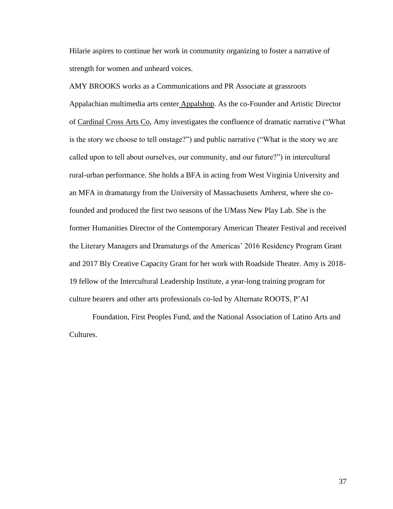Hilarie aspires to continue her work in community organizing to foster a narrative of strength for women and unheard voices.

AMY BROOKS works as a Communications and PR Associate at grassroots Appalachian multimedia arts center [Appalshop.](https://www.appalshop.org/) As the co-Founder and Artistic Director of [Cardinal Cross Arts Co,](https://www.cardinalcross.org/) Amy investigates the confluence of dramatic narrative ("What is the story we choose to tell onstage?") and public narrative ("What is the story we are called upon to tell about ourselves, our community, and our future?") in intercultural rural-urban performance. She holds a BFA in acting from West Virginia University and an MFA in dramaturgy from the University of Massachusetts Amherst, where she cofounded and produced the first two seasons of the UMass New Play Lab. She is the former Humanities Director of the Contemporary American Theater Festival and received the Literary Managers and Dramaturgs of the Americas' 2016 Residency Program Grant and 2017 Bly Creative Capacity Grant for her work with Roadside Theater. Amy is 2018- 19 fellow of the [Intercultural Leadership Institute,](http://www.weareili.org/) a year-long training program for culture bearers and other arts professionals co-led by Alternate ROOTS, P'AI

Foundation, First Peoples Fund, and the National Association of Latino Arts and Cultures.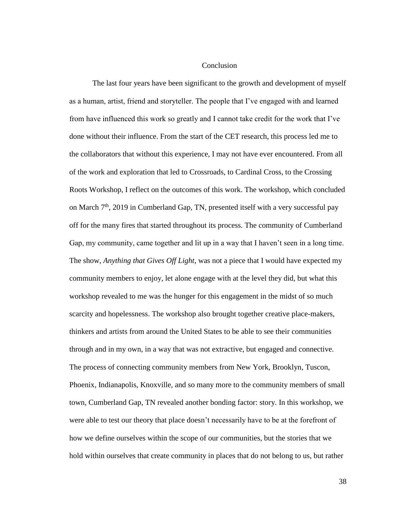### Conclusion

The last four years have been significant to the growth and development of myself as a human, artist, friend and storyteller. The people that I've engaged with and learned from have influenced this work so greatly and I cannot take credit for the work that I've done without their influence. From the start of the CET research, this process led me to the collaborators that without this experience, I may not have ever encountered. From all of the work and exploration that led to Crossroads, to Cardinal Cross, to the Crossing Roots Workshop, I reflect on the outcomes of this work. The workshop, which concluded on March  $7<sup>th</sup>$ , 2019 in Cumberland Gap, TN, presented itself with a very successful pay off for the many fires that started throughout its process. The community of Cumberland Gap, my community, came together and lit up in a way that I haven't seen in a long time. The show, *Anything that Gives Off Light*, was not a piece that I would have expected my community members to enjoy, let alone engage with at the level they did, but what this workshop revealed to me was the hunger for this engagement in the midst of so much scarcity and hopelessness. The workshop also brought together creative place-makers, thinkers and artists from around the United States to be able to see their communities through and in my own, in a way that was not extractive, but engaged and connective. The process of connecting community members from New York, Brooklyn, Tuscon, Phoenix, Indianapolis, Knoxville, and so many more to the community members of small town, Cumberland Gap, TN revealed another bonding factor: story. In this workshop, we were able to test our theory that place doesn't necessarily have to be at the forefront of how we define ourselves within the scope of our communities, but the stories that we hold within ourselves that create community in places that do not belong to us, but rather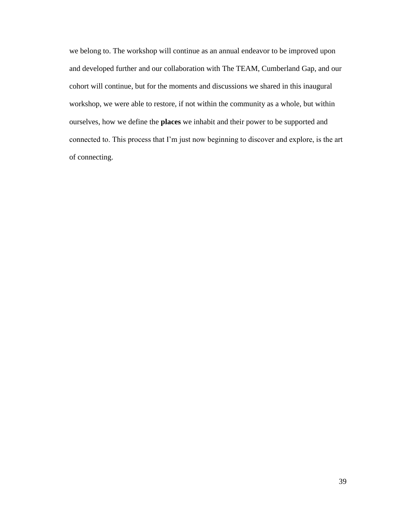we belong to. The workshop will continue as an annual endeavor to be improved upon and developed further and our collaboration with The TEAM, Cumberland Gap, and our cohort will continue, but for the moments and discussions we shared in this inaugural workshop, we were able to restore, if not within the community as a whole, but within ourselves, how we define the **places** we inhabit and their power to be supported and connected to. This process that I'm just now beginning to discover and explore, is the art of connecting.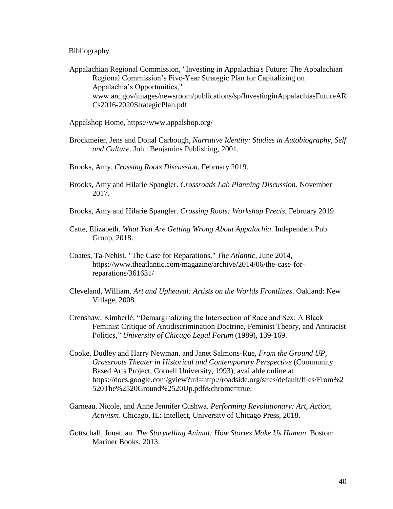### Bibliography

Appalachian Regional Commission, "Investing in Appalachia's Future: The Appalachian Regional Commission's Five-Year Strategic Plan for Capitalizing on Appalachia's Opportunities," www.arc.gov/images/newsroom/publications/sp/InvestinginAppalachiasFutureAR Cs2016-2020StrategicPlan.pdf

- Appalshop Home, https://www.appalshop.org/
- Brockmeier, Jens and Donal Carbough, *Narrative Identity: Studies in Autobiography, Self and Culture*. John Benjamins Publishing, 2001.
- Brooks, Amy. *Crossing Roots Discussion,* February 2019.
- Brooks, Amy and Hilarie Spangler. *Crossroads Lab Planning Discussion.* November 2017.
- Brooks, Amy and Hilarie Spangler. *Crossing Roots: Workshop Precis.* February 2019.
- Catte, Elizabeth. *What You Are Getting Wrong About Appalachia*. Independent Pub Group, 2018.
- Coates, Ta-Nehisi. "The Case for Reparations," *The Atlantic*, June 2014, https://www.theatlantic.com/magazine/archive/2014/06/the-case-forreparations/361631/
- Cleveland, William. *Art and Upheaval: Artists on the Worlds Frontlines*. Oakland: New Village, 2008.
- Crenshaw, Kimberlé. "Demarginalizing the Intersection of Race and Sex: A Black Feminist Critique of Antidiscrimination Doctrine, Feminist Theory, and Antiracist Politics," *University of Chicago Legal Forum* (1989), 139-169.
- Cooke, Dudley and Harry Newman, and Janet Salmons-Rue, *From the Ground UP, Grassroots Theater in Historical and Contemporary Perspective* (Community Based Arts Project, Cornell University, 1993), available online at https://docs.google.com/gview?url=http://roadside.org/sites/default/files/From%2 520The%2520Ground%2520Up.pdf&chrome=true.
- Garneau, Nicole, and Anne Jennifer Cushwa. *Performing Revolutionary: Art, Action, Activism*. Chicago, IL: Intellect, University of Chicago Press, 2018.
- Gottschall, Jonathan. *The Storytelling Animal: How Stories Make Us Human*. Boston: Mariner Books, 2013.